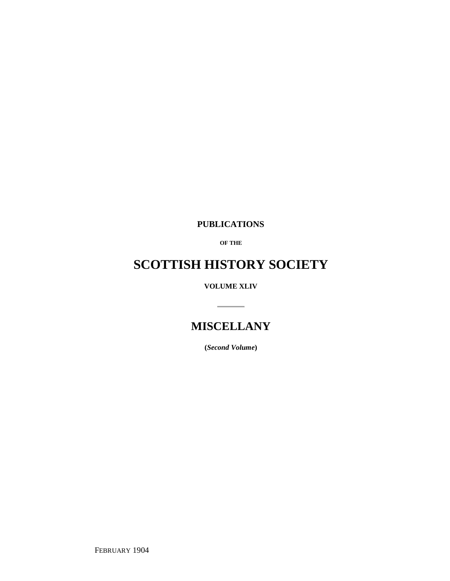**PUBLICATIONS**

**OF THE**

## **SCOTTISH HISTORY SOCIETY**

**VOLUME XLIV**

 $\overline{\phantom{a}}$ 

### **MISCELLANY**

**(***Second Volume***)**

FEBRUARY 1904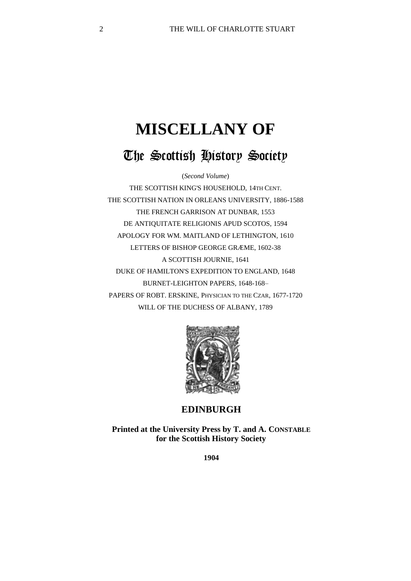# **MISCELLANY OF** The Scottish History Society

(*Second Volume*)

THE SCOTTISH KING'S HOUSEHOLD, 14TH CENT. THE SCOTTISH NATION IN ORLEANS UNIVERSITY, 1886-1588 THE FRENCH GARRISON AT DUNBAR, 1553 DE ANTIQUITATE RELIGIONIS APUD SCOTOS, 1594 APOLOGY FOR WM. MAITLAND OF LETHINGTON, 1610 LETTERS OF BISHOP GEORGE GRÆME, 1602-38 A SCOTTISH JOURNIE, 1641 DUKE OF HAMILTON'S EXPEDITION TO ENGLAND, 1648 BURNET-LEIGHTON PAPERS, 1648-168– PAPERS OF ROBT. ERSKINE, PHYSICIAN TO THE CZAR, 1677-1720 WILL OF THE DUCHESS OF ALBANY, 1789



#### **EDINBURGH**

**Printed at the University Press by T. and A. CONSTABLE for the Scottish History Society**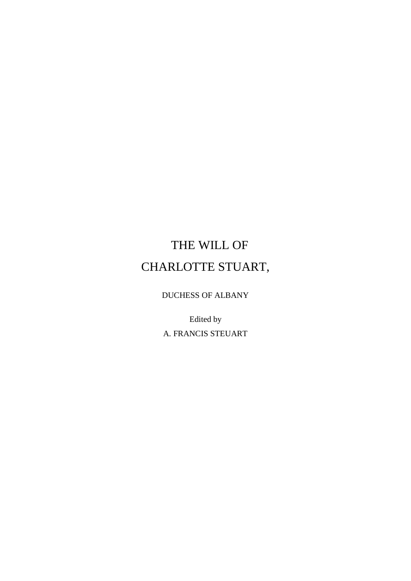## THE WILL OF CHARLOTTE STUART,

DUCHESS OF ALBANY

Edited by A. FRANCIS STEUART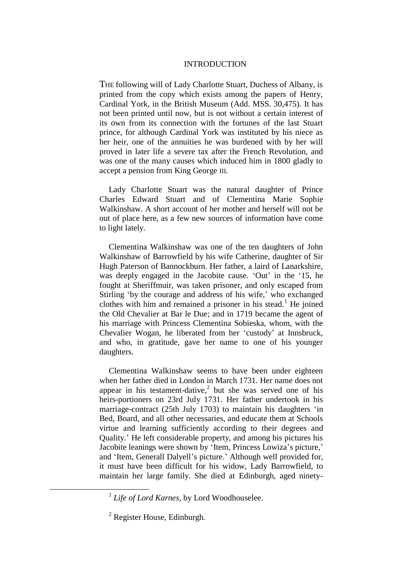#### INTRODUCTION

THE following will of Lady Charlotte Stuart, Duchess of Albany, is printed from the copy which exists among the papers of Henry, Cardinal York, in the British Museum (Add. MSS. 30,475). It has not been printed until now, but is not without a certain interest of its own from its connection with the fortunes of the last Stuart prince, for although Cardinal York was instituted by his niece as her heir, one of the annuities he was burdened with by her will proved in later life a severe tax after the French Revolution, and was one of the many causes which induced him in 1800 gladly to accept a pension from King George III.

Lady Charlotte Stuart was the natural daughter of Prince Charles Edward Stuart and of Clementina Marie Sophie Walkinshaw. A short account of her mother and herself will not be out of place here, as a few new sources of information have come to light lately.

Clementina Walkinshaw was one of the ten daughters of John Walkinshaw of Barrowfield by his wife Catherine, daughter of Sir Hugh Paterson of Bannockburn. Her father, a laird of Lanarkshire, was deeply engaged in the Jacobite cause. 'Out' in the '15, he fought at Sheriffmuir, was taken prisoner, and only escaped from Stirling 'by the courage and address of his wife,' who exchanged clothes with him and remained a prisoner in his stead.<sup>1</sup> He joined the Old Chevalier at Bar le Due; and in 1719 became the agent of his marriage with Princess Clementina Sobieska, whom, with the Chevalier Wogan, he liberated from her 'custody' at Innsbruck, and who, in gratitude, gave her name to one of his younger daughters.

Clementina Walkinshaw seems to have been under eighteen when her father died in London in March 1731. Her name does not appear in his testament-dative,<sup>2</sup> but she was served one of his heirs-portioners on 23rd July 1731. Her father undertook in his marriage-contract (25th July 1703) to maintain his daughters 'in Bed, Board, and all other necessaries, and educate them at Schools virtue and learning sufficiently according to their degrees and Quality.' He left considerable property, and among his pictures his Jacobite leanings were shown by 'Item, Princess Lowiza's picture,' and 'Item, Generall Dalyell's picture.' Although well provided for, it must have been difficult for his widow, Lady Barrowfield, to maintain her large family. She died at Edinburgh, aged ninety-

<sup>&</sup>lt;sup>1</sup> Life of Lord Karnes, by Lord Woodhouselee.

<sup>2</sup> Register House, Edinburgh.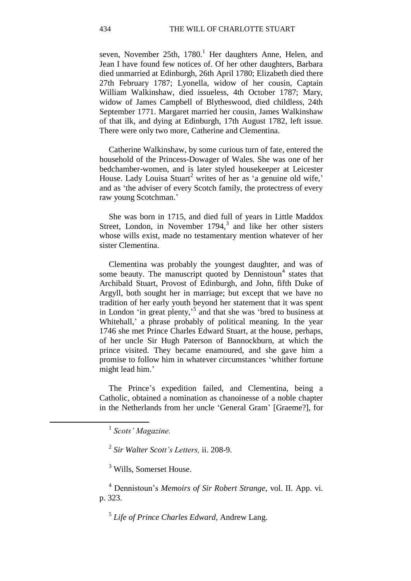seven, November 25th,  $1780<sup>1</sup>$  Her daughters Anne, Helen, and Jean I have found few notices of. Of her other daughters, Barbara died unmarried at Edinburgh, 26th April 1780; Elizabeth died there 27th February 1787; Lyonella, widow of her cousin, Captain William Walkinshaw, died issueless, 4th October 1787; Mary, widow of James Campbell of Blytheswood, died childless, 24th September 1771. Margaret married her cousin, James Walkinshaw of that ilk, and dying at Edinburgh, 17th August 1782, left issue. There were only two more, Catherine and Clementina.

Catherine Walkinshaw, by some curious turn of fate, entered the household of the Princess-Dowager of Wales. She was one of her bedchamber-women, and is later styled housekeeper at Leicester House. Lady Louisa Stuart<sup>2</sup> writes of her as 'a genuine old wife,' and as 'the adviser of every Scotch family, the protectress of every raw young Scotchman.'

She was born in 1715, and died full of years in Little Maddox Street, London, in November  $1794$ ,<sup>3</sup> and like her other sisters whose wills exist, made no testamentary mention whatever of her sister Clementina.

Clementina was probably the youngest daughter, and was of some beauty. The manuscript quoted by Dennistoun<sup>4</sup> states that Archibald Stuart, Provost of Edinburgh, and John, fifth Duke of Argyll, both sought her in marriage; but except that we have no tradition of her early youth beyond her statement that it was spent in London 'in great plenty,' 5 and that she was 'bred to business at Whitehall,' a phrase probably of political meaning. In the year 1746 she met Prince Charles Edward Stuart, at the house, perhaps, of her uncle Sir Hugh Paterson of Bannockburn, at which the prince visited. They became enamoured, and she gave him a promise to follow him in whatever circumstances 'whither fortune might lead him.'

The Prince's expedition failed, and Clementina, being a Catholic, obtained a nomination as chanoinesse of a noble chapter in the Netherlands from her uncle 'General Gram' [Graeme?], for

1

<sup>3</sup> Wills, Somerset House.

<sup>4</sup> Dennistoun's *Memoirs of Sir Robert Strange,* vol. II. App. vi. p. 323.

5 *Life of Prince Charles Edward,* Andrew Lang.

<sup>1</sup> *Scots' Magazine.*

<sup>2</sup> *Sir Walter Scott's Letters,* ii. 208-9.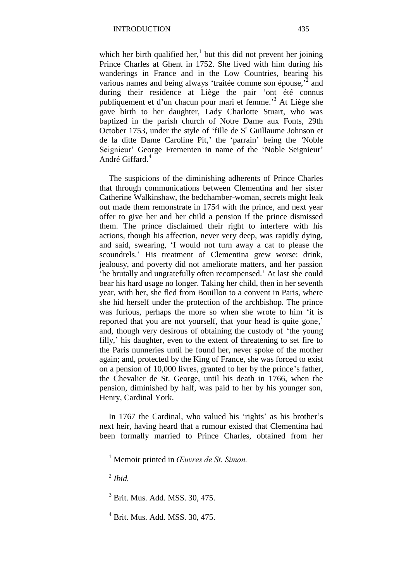which her birth qualified her, $<sup>1</sup>$  but this did not prevent her joining</sup> Prince Charles at Ghent in 1752. She lived with him during his wanderings in France and in the Low Countries, bearing his various names and being always 'traitée comme son épouse, $\overline{a}$  and during their residence at Liège the pair 'ont été connus publiquement et d'un chacun pour mari et femme.' <sup>3</sup> At Liège she gave birth to her daughter, Lady Charlotte Stuart, who was baptized in the parish church of Notre Dame aux Fonts, 29th October 1753, under the style of 'fille de  $S<sup>r</sup>$  Guillaume Johnson et de la ditte Dame Caroline Pit,' the 'parrain' being the *'*Noble Seignieur' George Frementen in name of the 'Noble Seignieur' André Giffard.<sup>4</sup>

The suspicions of the diminishing adherents of Prince Charles that through communications between Clementina and her sister Catherine Walkinshaw, the bedchamber-woman, secrets might leak out made them remonstrate in 1754 with the prince, and next year offer to give her and her child a pension if the prince dismissed them. The prince disclaimed their right to interfere with his actions, though his affection, never very deep, was rapidly dying, and said, swearing, 'I would not turn away a cat to please the scoundrels.' His treatment of Clementina grew worse: drink, jealousy, and poverty did not ameliorate matters, and her passion 'he brutally and ungratefully often recompensed.' At last she could bear his hard usage no longer. Taking her child, then in her seventh year, with her, she fled from Bouillon to a convent in Paris, where she hid herself under the protection of the archbishop. The prince was furious, perhaps the more so when she wrote to him 'it is reported that you are not yourself, that your head is quite gone,' and, though very desirous of obtaining the custody of 'the young filly,' his daughter, even to the extent of threatening to set fire to the Paris nunneries until he found her, never spoke of the mother again; and, protected by the King of France, she was forced to exist on a pension of 10,000 livres, granted to her by the prince's father, the Chevalier de St. George, until his death in 1766, when the pension, diminished by half, was paid to her by his younger son, Henry, Cardinal York.

In 1767 the Cardinal, who valued his 'rights' as his brother's next heir, having heard that a rumour existed that Clementina had been formally married to Prince Charles, obtained from her

2 *Ibid.*

<sup>1</sup> Memoir printed in *Œuvres de St. Simon.*

<sup>3</sup> Brit. Mus. Add. MSS. 30, 475.

 $4$  Brit. Mus. Add. MSS. 30, 475.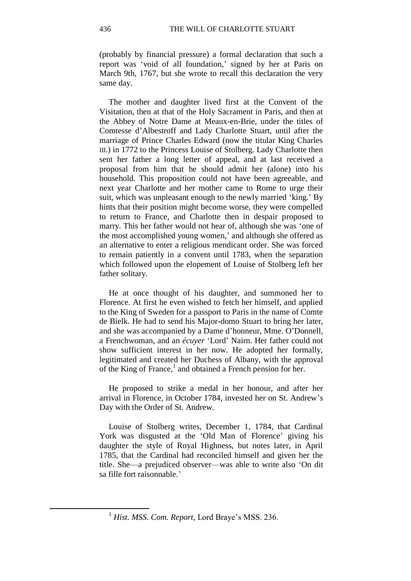(probably by financial pressure) a formal declaration that such a report was 'void of all foundation,' signed by her at Paris on March 9th, 1767, but she wrote to recall this declaration the very same day.

The mother and daughter lived first at the Convent of the Visitation, then at that of the Holy Sacrament in Paris, and then at the Abbey of Notre Dame at Meaux-en-Brie, under the titles of Comtesse d'Albestroff and Lady Charlotte Stuart, until after the marriage of Prince Charles Edward (now the titular King Charles III.) in 1772 to the Princess Louise of Stolberg. Lady Charlotte then sent her father a long letter of appeal, and at last received a proposal from him that he should admit her (alone) into his household. This proposition could not have been agreeable, and next year Charlotte and her mother came to Rome to urge their suit, which was unpleasant enough to the newly married 'king.' By hints that their position might become worse, they were compelled to return to France, and Charlotte then in despair proposed to marry. This her father would not hear of, although she was 'one of the most accomplished young women,' and although she offered as an alternative to enter a religious mendicant order. She was forced to remain patiently in a convent until 1783, when the separation which followed upon the elopement of Louise of Stolberg left her father solitary.

He at once thought of his daughter, and summoned her to Florence. At first he even wished to fetch her himself, and applied to the King of Sweden for a passport to Paris in the name of Comte de Bielk. He had to send his Major-domo Stuart to bring her later, and she was accompanied by a Dame d'honneur, Mme. O'Donnell, a Frenchwoman, and an *écuyer* 'Lord' Nairn. Her father could not show sufficient interest in her now. He adopted her formally, legitimated and created her Duchess of Albany, with the approval of the King of France,<sup>1</sup> and obtained a French pension for her.

He proposed to strike a medal in her honour, and after her arrival in Florence, in October 1784, invested her on St. Andrew's Day with the Order of St. Andrew.

Louise of Stolberg writes, December 1, 1784, that Cardinal York was disgusted at the 'Old Man of Florence' giving his daughter the style of Royal Highness, but notes later, in April 1785, that the Cardinal had reconciled himself and given her the title. She—a prejudiced observer—was able to write also 'On dit sa fille fort raisonnable.'

<sup>1</sup> *Hist. MSS. Com. Report,* Lord Braye's MSS. 236.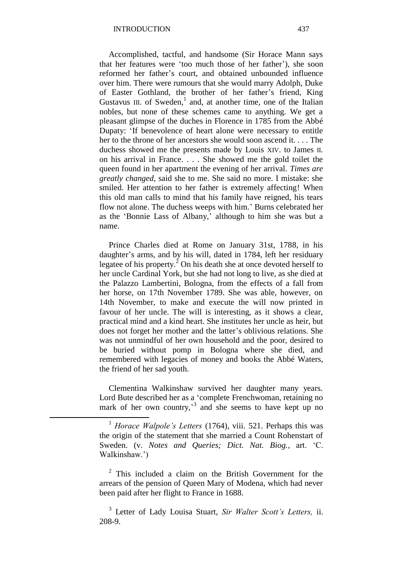Accomplished, tactful, and handsome (Sir Horace Mann says that her features were 'too much those of her father'), she soon reformed her father's court, and obtained unbounded influence over him. There were rumours that she would marry Adolph, Duke of Easter Gothland, the brother of her father's friend, King Gustavus III. of Sweden, $<sup>1</sup>$  and, at another time, one of the Italian</sup> nobles, but none of these schemes came to anything. We get a pleasant glimpse of the duches in Florence in 1785 from the Abbé Dupaty: 'If benevolence of heart alone were necessary to entitle her to the throne of her ancestors she would soon ascend it. . . . The duchess showed me the presents made by Louis XIV. to James II. on his arrival in France. . . . She showed me the gold toilet the queen found in her apartment the evening of her arrival. *Times are greatly changed,* said she to me. She said no more. I mistake: she smiled. Her attention to her father is extremely affecting! When this old man calls to mind that his family have reigned, his tears flow not alone. The duchess weeps with him.' Burns celebrated her as the 'Bonnie Lass of Albany,' although to him she was but a name.

Prince Charles died at Rome on January 31st, 1788, in his daughter's arms, and by his will, dated in 1784, left her residuary legatee of his property. $^{2}$  On his death she at once devoted herself to her uncle Cardinal York, but she had not long to live, as she died at the Palazzo Lambertini, Bologna, from the effects of a fall from her horse, on 17th November 1789. She was able, however, on 14th November, to make and execute the will now printed in favour of her uncle. The will is interesting, as it shows a clear, practical mind and a kind heart. She institutes her uncle as heir, but does not forget her mother and the latter's oblivious relations. She was not unmindful of her own household and the poor, desired to be buried without pomp in Bologna where she died, and remembered with legacies of money and books the Abbé Waters, the friend of her sad youth.

Clementina Walkinshaw survived her daughter many years. Lord Bute described her as a 'complete Frenchwoman, retaining no mark of her own country,<sup>3</sup> and she seems to have kept up no

1

3 Letter of Lady Louisa Stuart, *Sir Walter Scott's Letters,* ii. 208-9.

<sup>1</sup> *Horace Walpole's Letters* (1764), viii. 521. Perhaps this was the origin of the statement that she married a Count Rohenstart of Sweden. (v. *Notes and Queries; Dict. Nat. Biog.,* art. 'C. Walkinshaw.')

<sup>&</sup>lt;sup>2</sup> This included a claim on the British Government for the arrears of the pension of Queen Mary of Modena, which had never been paid after her flight to France in 1688.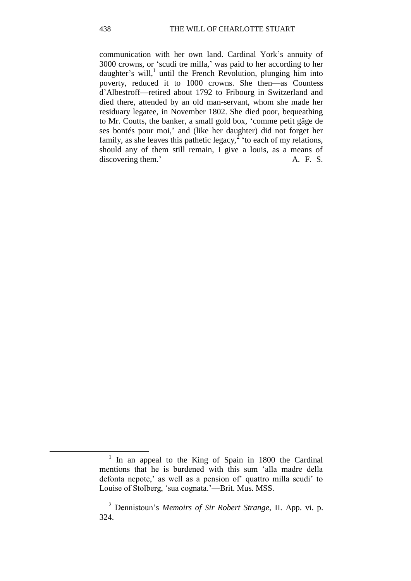communication with her own land. Cardinal York's annuity of 3000 crowns, or 'scudi tre milla,' was paid to her according to her daughter's will,<sup>1</sup> until the French Revolution, plunging him into poverty, reduced it to 1000 crowns. She then—as Countess d'Albestroff—retired about 1792 to Fribourg in Switzerland and died there, attended by an old man-servant, whom she made her residuary legatee, in November 1802. She died poor, bequeathing to Mr. Coutts, the banker, a small gold box, 'comme petit gâge de ses bontés pour moi,' and (like her daughter) did not forget her family, as she leaves this pathetic legacy,<sup> $\overline{2}$ </sup> to each of my relations, should any of them still remain, I give a louis, as a means of discovering them.' A. F. S.

<sup>1</sup> In an appeal to the King of Spain in 1800 the Cardinal mentions that he is burdened with this sum 'alla madre della defonta nepote,' as well as a pension of' quattro milla scudi' to Louise of Stolberg, 'sua cognata.'—Brit. Mus. MSS.

<sup>2</sup> Dennistoun's *Memoirs of Sir Robert Strange,* II. App. vi. p. 324.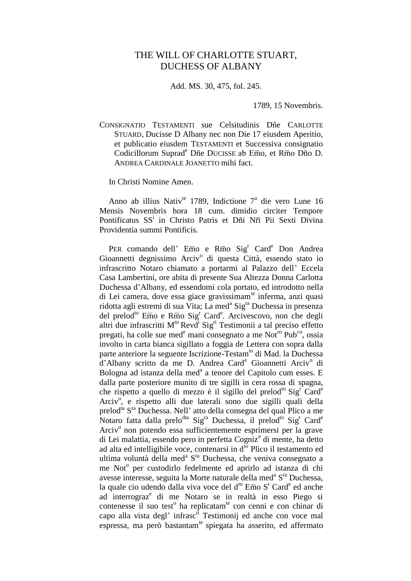#### THE WILL OF CHARLOTTE STUART, DUCHESS OF ALBANY

Add. MS. 30, 475, fol. 245.

1789, 15 Novembris.

CONSIGNATIO TESTAMENTI sue Celsitudinis Dne CARLOTTE STUARD, Ducisse D Albany nec non Die 17 eiusdem Aperitio, et publicatio eiusdem TESTAMENTI et Successiva consignatio Codicillorum Suprad<sup>e</sup> Dne DUCISSE ab Emo, et Rm o Dno D. ANDREA CARDINALE JOANETTO mihi fact.

In Christi Nomine Amen.

Anno ab illius Nativ<sup>te</sup> 1789, Indictione 7<sup>ª</sup> die vero Lune 16 Mensis Novembris hora 18 cum. dimidio circiter Tempore Pontificatus SS<sup>i</sup> in Christo Patris et Dni Nri Pii Sexti Divina Providentia summi Pontificis.

PER comando dell' Emo e Rmo Sig<sup>r</sup> Card<sup>e</sup> Don Andrea Gioannetti degnissimo Arciv<sup>o</sup> di questa Città, essendo stato io infrascritto Notaro chiamato a portarmi al Palazzo dell' Eccela Casa Lambertini, ore abita di presente Sua Altezza Donna Carlotta Duchessa d'Albany, ed essendomi cola portato, ed introdotto nella di Lei camera, dove essa giace gravissimam<sup>te</sup> inferma, anzi quasi ridotta agli estremi di sua Vita; La med<sup>a</sup> Sig<sup>ra</sup> Duchessa in presenza del prelod<sup>to</sup> Emo e Rmo Sig<sup>r</sup> Card<sup>e</sup>. Arcivescovo, non che degli altri due infrascritti M<sup>to</sup> Revd<sup>i</sup> Sig<sup>ri</sup> Testimonii a tal preciso effetto pregati, ha colle sue med<sup>e</sup> mani consegnato a me Not<sup>ro</sup> Pub<sup>co</sup>, ossia involto in carta bianca sigillato a foggia de Lettera con sopra dalla parte anteriore la seguente Iscrizione-Testam<sup>to</sup> di Mad. la Duchessa d'Albany scritto da me D. Andrea Card<sup>e</sup> Gioannetti Arciv<sup>o</sup> di Bologna ad istanza della med<sup>a</sup> a tenore del Capitolo cum esses. E dalla parte posteriore munito di tre sigilli in cera rossa di spagna, che rispetto a quello di mezzo è il sigillo del prelod<sup>to</sup> Sig<sup>r</sup> Card<sup>e</sup> Arciv<sup>o</sup>, e rispetto alli due laterali sono due sigilli quali della prelod<sup>ta</sup> S<sup>ra</sup> Duchessa. Nell' atto della consegna del qual Plico a me Notaro fatta dalla prelo<sup>dta</sup> Sig<sup>ra</sup> Duchessa, il prelod<sup>to</sup> Sig<sup>r</sup> Card<sup>e</sup> Arciv<sup>o</sup> non potendo essa sufficientemente esprimersi per la grave di Lei malattia, essendo pero in perfetta Cogniz<sup>e</sup> di mente, ha detto ad alta ed intelligibile voce, contenarsi in  $d^{6}$  Plico il testamento ed ultima voluntà della med<sup>a</sup> S<sup>ra</sup> Duchessa, che veniva consegnato a me Not<sup>o</sup> per custodirlo fedelmente ed aprirlo ad istanza di chi avesse interesse, seguita la Morte naturale della med<sup>a</sup> S<sup>ra</sup> Duchessa, la quale cio udendo dalla viva voce del d<sup>to</sup> Emo S<sup>r</sup> Card<sup>e</sup> ed anche ad interrograz<sup>e</sup> di me Notaro se in realtà in esso Piego si contenesse il suo test<sup>o</sup> ha replicatam<sup>te</sup> con cenni e con chinar di capo alla vista degl' infrasc<sup>ti</sup> Testimonij ed anche con voce mal espressa, ma però bastantam<sup>te</sup> spiegata ha asserito, ed affermato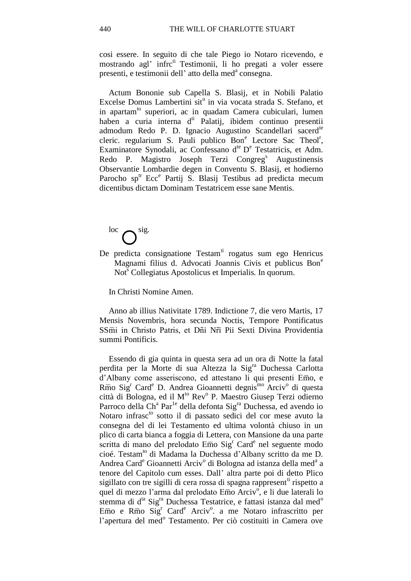cosi essere. In seguito di che tale Piego io Notaro ricevendo, e mostrando agl' infrc<sup>ti</sup> Testimonii, li ho pregati a voler essere presenti, e testimonii dell'atto della med<sup>a</sup> consegna.

Actum Bononie sub Capella S. Blasij, et in Nobili Palatio Excelse Domus Lambertini sit<sup>o</sup> in via vocata strada S. Stefano, et in apartam<sup>to</sup> superiori, ac in quadam Camera cubiculari, lumen haben a curia interna  $d<sup>ti</sup>$  Palatij, ibidem continuo presentii admodum Redo P. D. Ignacio Augustino Scandellari sacerd<sup>te</sup> cleric. regularium S. Pauli publico Bon<sup>e</sup> Lectore Sac Theol<sup>r</sup>, Examinatore Synodali, ac Confessano d<sup>te</sup> D<sup>e</sup> Testatricis, et Adm. Redo P. Magistro Joseph Terzi Congreg<sup>s</sup> Augustinensis Observantie Lombardie degen in Conventu S. Blasij, et hodierno Parocho sp<sup>tr</sup> Ecc<sup>e</sup> Partij S. Blasij Testibus ad predicta mecum dicentibus dictam Dominam Testatricem esse sane Mentis.

 $\log \frac{1}{2}$ 

De predicta consignatione  $Testam<sup>ti</sup>$  rogatus sum ego Henricus Magnami fìlius d. Advocati Joannis Civis et publicus Bon<sup>e</sup> Not<sup>s</sup> Collegiatus Apostolicus et Imperialis. In quorum.

In Christi Nomine Amen.

Anno ab illius Nativitate 1789. Indictione 7, die vero Martis, 17 Mensis Novembris, hora secunda Noctis, Tempore Pontificatus SSmi in Christo Patris, et Dni Nri Pii Sexti Divina Providentia summi Pontificis.

Essendo di gia quinta in questa sera ad un ora di Notte la fatal perdita per la Morte di sua Altezza la Sig<sup>ra</sup> Duchessa Carlotta d'Albany come asseriscono, ed attestano li qui presenti Emo, e Rmo Sig<sup>r</sup> Card<sup>e</sup> D. Andrea Gioannetti degnis<sup>mo</sup> Arciv<sup>o</sup> di questa città di Bologna, ed il M<sup>to</sup> Rev<sup>o</sup> P. Maestro Giusep Terzi odierno Parroco della Ch<sup>a</sup> Par<sup>1e</sup> della defonta Sig<sup>ra</sup> Duchessa, ed avendo io Notaro infrasc<sup>to</sup> sotto il di passato sedici del cor mese avuto la consegna del di lei Testamento ed ultima volontà chiuso in un plico di carta bianca a foggia di Lettera, con Mansione da una parte scritta di mano del prelodato Emo Sig<sup>r</sup> Card<sup>e</sup> nel seguente modo cioé. Testam<sup>to</sup> di Madama la Duchessa d'Albany scritto da me D. Andrea Card<sup>e</sup> Gioannetti Arciv<sup>o</sup> di Bologna ad istanza della med<sup>a</sup> a tenore del Capitolo cum esses. Dall' altra parte poi di detto Plico sigillato con tre sigilli di cera rossa di spagna rappresent<sup>a</sup> rispetto a quel di mezzo l'arma dal prelodato Emo Arciv<sup>o</sup>, e li due laterali lo stemma di d<sup>ta</sup> Sig<sup>ra</sup> Duchessa Testatrice, e fattasi istanza dal med<sup>o</sup> Emo e Rmo Sig<sup>r</sup> Card<sup>e</sup> Arciv<sup>o</sup>. a me Notaro infrascritto per l'apertura del med<sup>o</sup> Testamento. Per ciò costituiti in Camera ove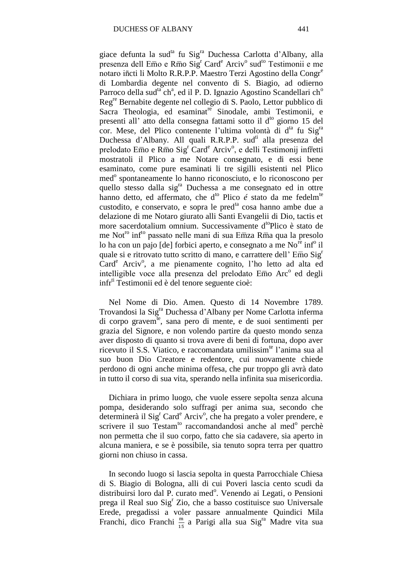giace defunta la sud<sup>ta</sup> fu Sig<sup>ra</sup> Duchessa Carlotta d'Albany, alla presenza dell Emo e Rmo Sig<sup>r</sup> Card<sup>e</sup> Arciv<sup>o</sup> sud<sup>to</sup> Testimonii e me notaro incti li Molto R.R.P.P. Maestro Terzi Agostino della Congr<sup>e</sup> di Lombardia degente nel convento di S. Biagio, ad odierno Parroco della sud<sup>ta</sup> ch<sup>a</sup>, ed il P. D. Ignazio Agostino Scandellari ch<sup>o</sup> Regre Bernabite degente nel collegio di S. Paolo, Lettor pubblico di Sacra Theologia, ed esaminat<sup>re</sup> Sinodale, ambi Testimonii, e presenti all' atto della consegna fattami sotto il d<sup>to</sup> giorno 15 del cor. Mese, del Plico contenente l'ultima volontà di d<sup>ta</sup> fu Sig<sup>ra</sup> Duchessa d'Albany. All quali R.R.P.P. sud<sup>ti</sup> alla presenza del prelodato Emo e Rmo Sig<sup>r</sup> Card<sup>e</sup> Arciv<sup>o</sup>, e delli Testimonij infretti mostratoli il Plico a me Notare consegnato, e di essi bene esaminato, come pure esaminati li tre sigilli esistenti nel Plico med<sup>o</sup> spontaneamente lo hanno riconosciuto, e lo riconoscono per quello stesso dalla sig<sup>ra</sup> Duchessa a me consegnato ed in ottre hanno detto, ed affermato, che d<sup>to</sup> Plico é stato da me fedelm<sup>te</sup> custodito, e conservato, e sopra le pred<sup>ta</sup> cosa hanno ambe due a delazione di me Notaro giurato alli Santi Evangelii di Dio, tactis et more sacerdotalium omnium. Successivamente d<sup>to</sup>Plico è stato de me Not<sup>ro</sup> inf<sup>to</sup> passato nelle mani di sua Emza Rm a qua la presolo lo ha con un pajo [de] forbici aperto, e consegnato a me  $No<sup>re</sup>$  inf<sup>o</sup> il quale si e ritrovato tutto scritto di mano, e carrattere dell' Emo  $\text{Sig}^r$ Card<sup>e</sup> Arciv<sup>o</sup>, a me pienamente cognito, l'ho letto ad alta ed intelligible voce alla presenza del prelodato Emo Arc<sup>o</sup> ed degli infr<sup>ti</sup> Testimonii ed è del tenore seguente cioè:

Nel Nome di Dio. Amen. Questo di 14 Novembre 1789. Trovandosi la Sig<sup>ra</sup> Duchessa d'Albany per Nome Carlotta inferma di corpo gravem<sup>te</sup>, sana pero di mente, e de suoi sentimenti per grazia del Signore, e non volendo partire da questo mondo senza aver disposto di quanto si trova avere di beni di fortuna, dopo aver ricevuto il S.S. Viatico, e raccomandata umilissim<sup>te</sup> l'anima sua al suo buon Dio Creatore e redentore, cui nuovamente chiede perdono di ogni anche minima offesa, che pur troppo gli avrà dato in tutto il corso di sua vita, sperando nella infinita sua misericordia.

Dichiara in primo luogo, che vuole essere sepolta senza alcuna pompa, desiderando solo suffragi per anima sua, secondo che determinerà il Sig<sup>r</sup> Card<sup>e</sup> Arciv<sup>o</sup>, che ha pregato a voler prendere, e scrivere il suo Testam<sup>to</sup> raccomandandosi anche al med<sup>o</sup> perchè non permetta che il suo corpo, fatto che sia cadavere, sia aperto in alcuna maniera, e se è possibile, sia tenuto sopra terra per quattro giorni non chiuso in cassa.

In secondo luogo si lascia sepolta in questa Parrocchiale Chiesa di S. Biagio di Bologna, alli di cui Poveri lascia cento scudi da distribuirsi loro dal P. curato med<sup>o</sup>. Venendo ai Legati, o Pensioni prega il Real suo Sig<sup>r</sup> Zio, che a basso costituisce suo Universale Erede, pregadissi a voler passare annualmente Quindici Mila Franchi, dico Franchi  $\frac{m}{15}$  a Parigi alla sua Sig<sup>ra</sup> Madre vita sua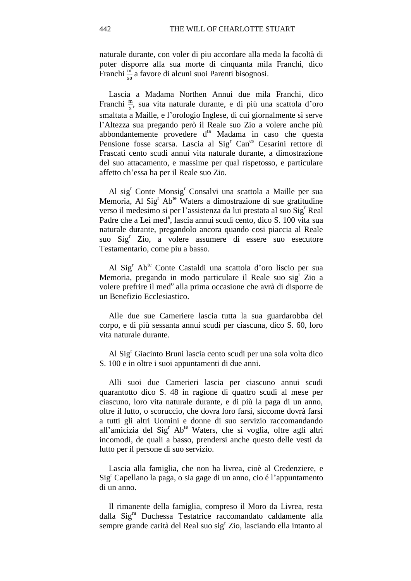naturale durante, con voler di piu accordare alla meda la facoltà di poter disporre alla sua morte di cinquanta mila Franchi, dico Franchi  $\frac{m}{50}$  a favore di alcuni suoi Parenti bisognosi.

Lascia a Madama Northen Annui due mila Franchi, dico Franchi  $\frac{m}{2}$ , sua vita naturale durante, e di più una scattola d'oro smaltata a Maille, e l'orologio Inglese, di cui giornalmente si serve l'Altezza sua pregando però il Reale suo Zio a volere anche più abbondantemente provedere d<sup>ta</sup> Madama in caso che questa Pensione fosse scarsa. Lascia al Sig<sup>r</sup> Canes Cesarini rettore di Frascati cento scudi annui vita naturale durante, a dimostrazione del suo attacamento, e massime per qual rispetosso, e particulare affetto ch'essa ha per il Reale suo Zio.

Al sig<sup>r</sup> Conte Monsig<sup>r</sup> Consalvi una scattola a Maille per sua Memoria, Al Sig<sup>r</sup> Ab<sup>te</sup> Waters a dimostrazione di sue gratitudine verso il medesimo si per l'assistenza da lui prestata al suo Sig<sup>r</sup> Real Padre che a Lei med<sup>a</sup>, lascia annui scudi cento, dico S. 100 vita sua naturale durante, pregandolo ancora quando cosi piaccia al Reale suo Sig<sup>r</sup> Zio, a volere assumere di essere suo esecutore Testamentario, come piu a basso.

Al Sig<sup>r</sup> Ab<sup>te</sup> Conte Castaldi una scattola d'oro liscio per sua Memoria, pregando in modo particulare il Reale suo sig<sup>r</sup> Zio a volere prefrire il med<sup>o</sup> alla prima occasione che avrà di disporre de un Benefizio Ecclesiastico.

Alle due sue Cameriere lascia tutta la sua guardarobba del corpo, e di più sessanta annui scudi per ciascuna, dico S. 60, loro vita naturale durante.

Al Sig<sup>r</sup> Giacinto Bruni lascia cento scudi per una sola volta dico S. 100 e in oltre i suoi appuntamenti di due anni.

Alli suoi due Camerieri lascia per ciascuno annui scudi quarantotto dico S. 48 in ragione di quattro scudi al mese per ciascuno, loro vita naturale durante, e di più la paga di un anno, oltre il lutto, o scoruccio, che dovra loro farsi, siccome dovrà farsi a tutti gli altri Uomini e donne di suo servizio raccomandando all'amicizia del Sig<sup>r</sup> Ab<sup>te</sup> Waters, che si voglia, oltre agli altri incomodi, de quali a basso, prendersi anche questo delle vesti da lutto per il persone di suo servizio.

Lascia alla famiglia, che non ha livrea, cioè al Credenziere, e Sig<sup>r</sup> Capellano la paga, o sia gage di un anno, cio é l'appuntamento di un anno.

Il rimanente della famiglia, compreso il Moro da Livrea, resta dalla Sig<sup>ra</sup> Duchessa Testatrice raccomandato caldamente alla sempre grande carità del Real suo sig<sup>r</sup> Zio, lasciando ella intanto al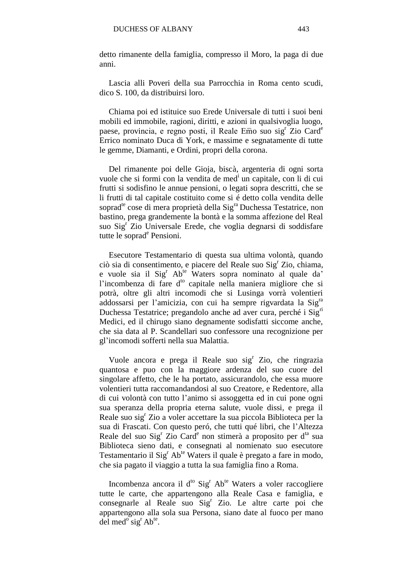detto rimanente della famiglia, compresso il Moro, la paga di due anni.

Lascia alli Poveri della sua Parrocchia in Roma cento scudi, dico S. 100, da distribuirsi loro.

Chiama poi ed istituice suo Erede Universale di tutti i suoi beni mobili ed immobile, ragioni, diritti, e azioni in qualsivoglia luogo, paese, provincia, e regno posti, il Reale Emo suo sig<sup>r</sup> Zio Card<sup>e</sup> Errico nominato Duca di York, e massime e segnatamente di tutte le gemme, Diamanti, e Ordini, propri della corona.

Del rimanente poi delle Gioja, biscà, argenteria di ogni sorta vuole che si formi con la vendita de med<sup>i</sup> un capitale, con li di cui frutti si sodisfino le annue pensioni, o legati sopra descritti, che se li frutti di tal capitale costituito come si é detto colla vendita delle soprad<sup>te</sup> cose di mera proprietà della Sig<sup>ra</sup> Duchessa Testatrice, non bastino, prega grandemente la bontà e la somma affezione del Real suo Sig<sup>r</sup> Zio Universale Erede, che voglia degnarsi di soddisfare tutte le soprad<sup>e</sup> Pensioni.

Esecutore Testamentario di questa sua ultima volontà, quando ciò sia di consentimento, e piacere del Reale suo Sig<sup>r</sup> Zio, chiama, e vuole sia il Sig<sup>r</sup> Ab<sup>te</sup> Waters sopra nominato al quale da' l'incombenza di fare d<sup>to</sup> capitale nella maniera migliore che si potrà, oltre gli altri incomodi che si Lusinga vorrà volentieri addossarsi per l'amicizia, con cui ha sempre rigvardata la Sig<sup>ra</sup> Duchessa Testatrice; pregandolo anche ad aver cura, perché i Sig<sup>ri</sup> Medici, ed il chirugo siano degnamente sodisfatti siccome anche, che sia data al P. Scandellari suo confessore una recognizione per gl'incomodi sofferti nella sua Malattia.

Vuole ancora e prega il Reale suo sig<sup>r</sup> Zio, che ringrazia quantosa e puo con la maggiore ardenza del suo cuore del singolare affetto, che le ha portato, assicurandolo, che essa muore volentieri tutta raccomandandosi al suo Creatore, e Redentore, alla di cui volontà con tutto l'animo si assoggetta ed in cui pone ogni sua speranza della propria eterna salute, vuole dissi, e prega il Reale suo sig<sup>r</sup> Zio a voler accettare la sua piccola Biblioteca per la sua di Frascati. Con questo peró, che tutti qué libri, che l'Altezza Reale del suo Sig<sup>r</sup> Zio Card<sup>e</sup> non stimerà a proposito per d<sup>ta</sup> sua Biblioteca sieno dati, e consegnati al nomienato suo esecutore Testamentario il  $Sig<sup>r</sup> Ab<sup>te</sup> Waters$  il quale è pregato a fare in modo, che sia pagato il viaggio a tutta la sua famiglia fino a Roma.

Incombenza ancora il d<sup>to</sup> Sig<sup>r</sup> Ab<sup>te</sup> Waters a voler raccogliere tutte le carte, che appartengono alla Reale Casa e famiglia, e consegnarle al Reale suo Sig<sup>r</sup> Zio. Le altre carte poi che appartengono alla sola sua Persona, siano date al fuoco per mano  $\det$  med<sup>o</sup> sig<sup>r</sup> Ab<sup>te</sup>.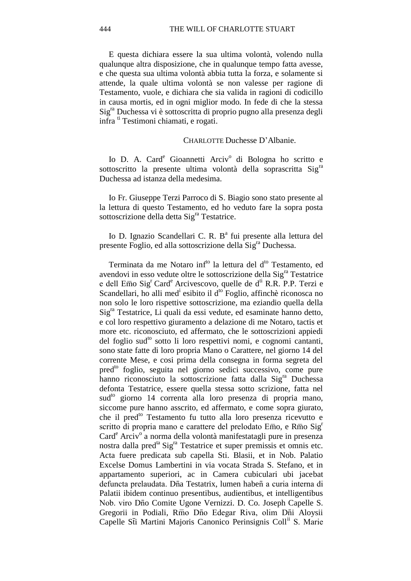E questa dichiara essere la sua ultima volontà, volendo nulla qualunque altra disposizione, che in qualunque tempo fatta avesse, e che questa sua ultima volontà abbia tutta la forza, e solamente si attende, la quale ultima volontà se non valesse per ragione di Testamento, vuole, e dichiara che sia valida in ragioni di codicillo in causa mortis, ed in ogni miglior modo. In fede di che la stessa Sig<sup>ra</sup> Duchessa vi è sottoscritta di proprio pugno alla presenza degli infra ti Testimoni chiamati, e rogati.

#### CHARLOTTE Duchesse D'Albanie.

Io D. A. Card<sup>e</sup> Gioannetti Arciv<sup>o</sup> di Bologna ho scritto e sottoscritto la presente ultima volontà della soprascritta Sig<sup>ra</sup> Duchessa ad istanza della medesima.

Io Fr. Giuseppe Terzi Parroco di S. Biagio sono stato presente al la lettura di questo Testamento, ed ho veduto fare la sopra posta sottoscrizione della detta Sig<sup>ra</sup> Testatrice.

Io D. Ignazio Scandellari C. R. B<sup>a</sup> fui presente alla lettura del presente Foglio, ed alla sottoscrizione della Sig<sup>ra</sup> Duchessa.

Terminata da me Notaro inf<sup>to</sup> la lettura del d<sup>to</sup> Testamento, ed avendovi in esso vedute oltre le sottoscrizione della Sig<sup>ra</sup> Testatrice e dell  $E\overline{m}$ o Sig<sup>r</sup> Card<sup>e</sup> Arcivescovo, quelle de d<sup>ti</sup> R.R. P.P. Terzi e Scandellari, ho alli med<sup>i</sup> esibito il d<sup>to</sup> Foglio, affinchè riconosca no non solo le loro rispettive sottoscrizione, ma eziandio quella della Sigra Testatrice, Li quali da essi vedute, ed esaminate hanno detto, e col loro respettivo giuramento a delazione di me Notaro, tactis et more etc. riconosciuto, ed affermato, che le sottoscrizioni appiedi del foglio sud<sup>to</sup> sotto li loro respettivi nomi, e cognomi cantanti, sono state fatte di loro propria Mano o Carattere, nel giorno 14 del corrente Mese, e cosi prima della consegna in forma segreta del pred<sup>to</sup> foglio, seguita nel giorno sedici successivo, come pure hanno riconosciuto la sottoscrizione fatta dalla Sig<sup>ra</sup> Duchessa defonta Testatrice, essere quella stessa sotto scrizione, fatta nel sud<sup>to</sup> giorno 14 correnta alla loro presenza di propria mano, siccome pure hanno asscrito, ed affermato, e come sopra giurato, che il pred<sup>to</sup> Testamento fu tutto alla loro presenza ricevutto e scritto di propria mano e carattere del prelodato  $E\overline{m}$ o, e R $\overline{m}$ o Sig<sup>r</sup> Card<sup>e</sup> Arciv<sup>o</sup> a norma della volontà manifestatagli pure in presenza nostra dalla pred<sup>ta</sup> Sig<sup>ra</sup> Testatrice et super premissis et omnis etc. Acta fuere predicata sub capella Sti. Blasii, et in Nob. Palatio Excelse Domus Lambertini in via vocata Strada S. Stefano, et in appartamento superiori, ac in Camera cubiculari ubi jacebat defuncta prelaudata. Dña Testatrix, lumen habeñ a curia interna di Palatii ibidem continuo presentibus, audientibus, et intelligentibus Nob. viro Dno Comite Ugone Vernizzi. D. Co. Joseph Capelle S. Gregorii in Podiali, Rmo Dno Edegar Riva, olim Dni Aloysii Capelle Sti Martini Majoris Canonico Perinsignis Coll<sup>11</sup> S. Marie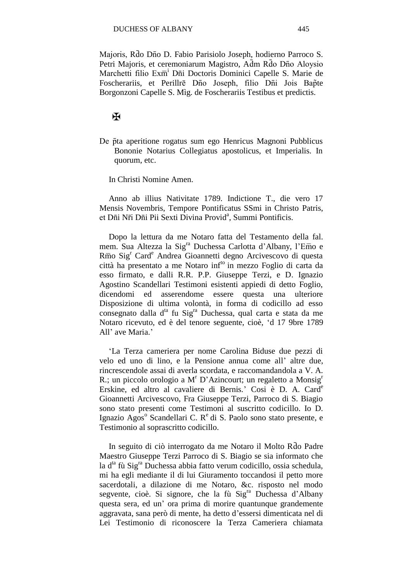Majoris, Rdo Dño D. Fabio Parisiolo Joseph, hodierno Parroco S. Petri Majoris, et ceremoniarum Magistro, Adm Rdo Dno Aloysio Marchetti filio Exm<sup>i</sup> Dni Doctoris Dominici Capelle S. Marie de Foscherariis, et Perillrē Dījo Joseph, filio Dīji Jois Bapte Borgonzoni Capelle S. Mìg. de Foscherariis Testibus et predictis.

#### ✠

De pta aperitione rogatus sum ego Henricus Magnoni Pubblicus Bononie Notarius Collegiatus apostolicus, et Imperialis. In quorum, etc.

In Christi Nomine Amen.

Anno ab illius Nativitate 1789. Indictione T., die vero 17 Mensis Novembris, Tempore Pontificatus SSmi in Christo Patris, et Dīni Nīi Dīni Pii Sexti Divina Provid<sup>a</sup>, Summi Pontificis.

Dopo la lettura da me Notaro fatta del Testamento della fal. mem. Sua Altezza la Sig<sup>ra</sup> Duchessa Carlotta d'Albany, l'Emo e Rmo Sig<sup>r</sup> Card<sup>e</sup> Andrea Gioannetti degno Arcivescovo di questa città ha presentato a me Notaro inf<sup>to</sup> in mezzo Foglio di carta da esso firmato, e dalli R.R. P.P. Giuseppe Terzi, e D. Ignazio Agostino Scandellari Testimoni esistenti appiedi di detto Foglio, dicendomi ed asserendome essere questa una ulteriore Disposizione di ultima volontà, in forma di codicillo ad esso consegnato dalla d<sup>ta</sup> fu Sig<sup>ra</sup> Duchessa, qual carta e stata da me Notaro ricevuto, ed è del tenore seguente, cioè, 'd 17 9bre 1789 All' ave Maria.'

'La Terza cameriera per nome Carolina Biduse due pezzi di velo ed uno di lino, e la Pensione annua come all' altre due, rincrescendole assai di averla scordata, e raccomandandola a V. A. R.; un piccolo orologio a  $M^r$  D'Azincourt; un regaletto a Monsig<sup>r</sup> Erskine, ed altro al cavaliere di Bernis.' Cosi è D. A. Card<sup>e</sup> Gioannetti Arcivescovo, Fra Giuseppe Terzi, Parroco di S. Biagio sono stato presenti come Testimoni al suscritto codicillo. Io D. Ignazio Agos<sup>o</sup> Scandellari C. R<sup>e</sup> di S. Paolo sono stato presente, e Testimonio al soprascritto codicillo.

In seguito di ciò interrogato da me Notaro il Molto Rdo Padre Maestro Giuseppe Terzi Parroco di S. Biagio se sia informato che la d<sup>ta</sup> fù Sig<sup>ra</sup> Duchessa abbia fatto verum codicillo, ossia schedula, mi ha egli mediante il di lui Giuramento toccandosi il petto more sacerdotali, a dilazione di me Notaro, &c. risposto nel modo segvente, cioè. Si signore, che la fù Sig<sup>ra</sup> Duchessa d'Albany questa sera, ed un' ora prima di morire quantunque grandemente aggravata, sana però di mente, ha detto d'essersi dimenticata nel di Lei Testimonio di riconoscere la Terza Cameriera chiamata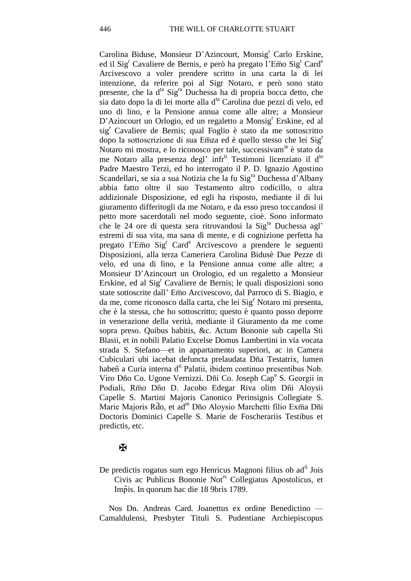Carolina Biduse, Monsieur D'Azincourt, Monsig<sup>r</sup> Carlo Erskine, ed il Sig<sup>r</sup> Cavaliere de Bernis, e però ha pregato l'Emo Sig<sup>r</sup> Card<sup>e</sup> Arcivescovo a voler prendere scritto in una carta la di lei intenzione, da referire poi al Sigr Notaro, e però sono stato presente, che la d<sup>ta</sup> Sig<sup>ra</sup> Duchessa ha di propria bocca detto, che sia dato dopo la di lei morte alla d<sup>ta</sup> Carolina due pezzi di velo, ed uno di lino, e la Pensione annua come alle altre; a Monsieur D'Azincourt un Orlogio, ed un regaletto a Monsig<sup>r</sup> Erskine, ed al sig<sup>r</sup> Cavaliere de Bernis; qual Foglio è stato da me sottoscritto dopo la sottoscrizione di sua Emza ed è quello stesso che lei  $\text{Sig}^r$ Notaro mi mostra, e lo riconosco per tale, successivam<sup>te</sup> è stato da me Notaro alla presenza degl' infr<sup>ti</sup> Testimoni licenziato il d<sup>to</sup> Padre Maestro Terzi, ed ho interrogato il P. D. Ignazio Agostino Scandellari, se sia a sua Notizia che la fu Sig<sup>ra</sup> Duchessa d'Albany abbia fatto oltre il suo Testamento altro codicillo, o altra addizionale Disposizione, ed egli ha risposto, mediante il di lui giuramento differitogli da me Notaro, e da esso preso toccandosi il petto more sacerdotali nel modo seguente, cioè. Sono informato che le 24 ore di questa sera ritrovandosi la Sigra Duchessa agl' estremi di sua vita, ma sana di mente, e di cognizione perfetta ha pregato l'Emo  $Sig<sup>r</sup> Card<sup>e</sup>$  Arcivescovo a prendere le seguenti Disposizioni, alla terza Cameriera Carolina Bidusè Due Pezze di velo, ed una di lino, e la Pensione annua come alle altre; a Monsieur D'Azincourt un Orologio, ed un regaletto a Monsieur Erskine, ed al Sig<sup>r</sup> Cavaliere de Bernis; le quali disposizioni sono state sottoscrite dall' Emo Arcivescovo, dal Parroco di S. Biagio, e da me, come riconosco dalla carta, che lei Sig<sup>r</sup> Notaro mi presenta, che è la stessa, che ho sottoscritto; questo è quanto posso deporre in venerazione della verità, mediante il Giuramento da me come sopra preso. Quibus habitis, &c. Actum Bononie sub capella Sti Blasii, et in nobili Palatio Excelse Domus Lambertini in via vocata strada S. Stefano—et in appartamento superiori, ac in Camera Cubiculari ubi iacebat defuncta prelaudata Dna Testatrix, lumen haben a Curia interna d<sup>ti</sup> Palatii, ibidem continuo presentibus Nob. Viro Dño Co. Ugone Vernizzi. Dni Co. Joseph Cape S. Georgii in Podiali, Rmo Dno D. Jacobo Edegar Riva olim Dni Aloysii Capelle S. Martini Majoris Canonico Perinsignis Collegiate S. Marie Majoris Rdo, et ad<sup>m</sup> Dno Aloysio Marchetti filio Exma Dni Doctoris Dominici Capelle S. Marie de Foscherariis Testibus et predictis, etc.

#### $\mathbf F$

De predictis rogatus sum ego Henricus Magnoni filius ob ad<sup>ti</sup> Jois Civis ac Publicus Bononie Not<sup>rs</sup> Collegiatus Apostolicus, et Impis. In quorum hac die 18 9bris 1789.

Nos Dn. Andreas Card. Joanettus ex ordine Benedictino — Camaldulensi, Presbyter Tituli S. Pudentiane Archiepiscopus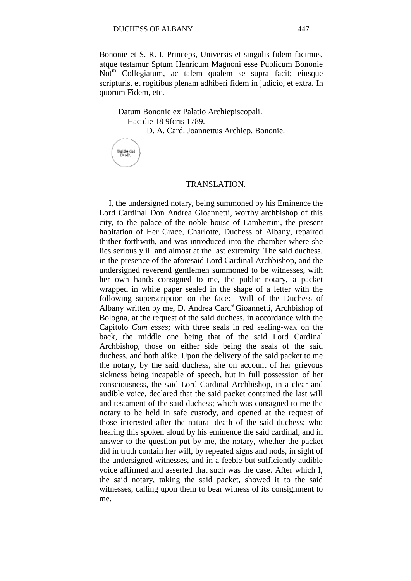Bononie et S. R. I. Princeps, Universis et singulis fidem facimus, atque testamur Sptum Henricum Magnoni esse Publicum Bononie  $\text{Not}^{\text{m}}$  Collegiatum, ac talem qualem se supra facit; eiusque scripturis, et rogitibus plenam adhiberi fidem in judicio, et extra. In quorum Fidem, etc.

Datum Bononie ex Palatio Archiepiscopali. Hac die 18 9fcris 1789.

D. A. Card. Joannettus Archiep. Bononie.

Sigillo del<br>Card<sup>+</sup>.

#### TRANSLATION.

I, the undersigned notary, being summoned by his Eminence the Lord Cardinal Don Andrea Gioannetti, worthy archbishop of this city, to the palace of the noble house of Lambertini, the present habitation of Her Grace, Charlotte, Duchess of Albany, repaired thither forthwith, and was introduced into the chamber where she lies seriously ill and almost at the last extremity. The said duchess, in the presence of the aforesaid Lord Cardinal Archbishop, and the undersigned reverend gentlemen summoned to be witnesses, with her own hands consigned to me, the public notary, a packet wrapped in white paper sealed in the shape of a letter with the following superscription on the face:—Will of the Duchess of Albany written by me, D. Andrea Card<sup>e</sup> Gioannetti, Archbishop of Bologna, at the request of the said duchess, in accordance with the Capitolo *Cum esses;* with three seals in red sealing-wax on the back, the middle one being that of the said Lord Cardinal Archbishop, those on either side being the seals of the said duchess, and both alike. Upon the delivery of the said packet to me the notary, by the said duchess, she on account of her grievous sickness being incapable of speech, but in full possession of her consciousness, the said Lord Cardinal Archbishop, in a clear and audible voice, declared that the said packet contained the last will and testament of the said duchess; which was consigned to me the notary to be held in safe custody, and opened at the request of those interested after the natural death of the said duchess; who hearing this spoken aloud by his eminence the said cardinal, and in answer to the question put by me, the notary, whether the packet did in truth contain her will, by repeated signs and nods, in sight of the undersigned witnesses, and in a feeble but sufficiently audible voice affirmed and asserted that such was the case. After which I, the said notary, taking the said packet, showed it to the said witnesses, calling upon them to bear witness of its consignment to me.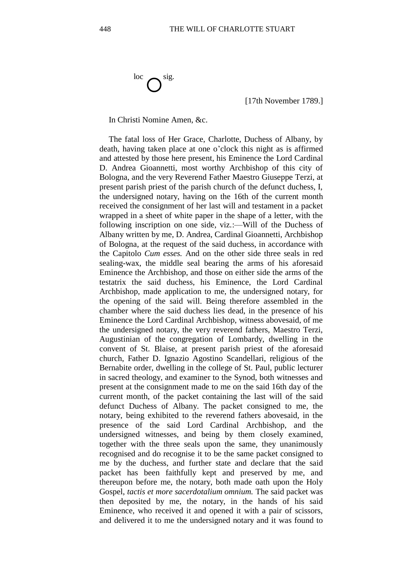[17th November 1789.]

In Christi Nomine Amen, &c.

The fatal loss of Her Grace, Charlotte, Duchess of Albany, by death, having taken place at one o'clock this night as is affirmed and attested by those here present, his Eminence the Lord Cardinal D. Andrea Gioannetti, most worthy Archbishop of this city of Bologna, and the very Reverend Father Maestro Giuseppe Terzi, at present parish priest of the parish church of the defunct duchess, I, the undersigned notary, having on the 16th of the current month received the consignment of her last will and testament in a packet wrapped in a sheet of white paper in the shape of a letter, with the following inscription on one side, viz.:—Will of the Duchess of Albany written by me, D. Andrea, Cardinal Gioannetti, Archbishop of Bologna, at the request of the said duchess, in accordance with the Capitolo *Cum esses.* And on the other side three seals in red sealing-wax, the middle seal bearing the arms of his aforesaid Eminence the Archbishop, and those on either side the arms of the testatrix the said duchess, his Eminence, the Lord Cardinal Archbishop, made application to me, the undersigned notary, for the opening of the said will. Being therefore assembled in the chamber where the said duchess lies dead, in the presence of his Eminence the Lord Cardinal Archbishop, witness abovesaid, of me the undersigned notary, the very reverend fathers, Maestro Terzi, Augustinian of the congregation of Lombardy, dwelling in the convent of St. Blaise, at present parish priest of the aforesaid church, Father D. Ignazio Agostino Scandellari, religious of the Bernabite order, dwelling in the college of St. Paul, public lecturer in sacred theology, and examiner to the Synod, both witnesses and present at the consignment made to me on the said 16th day of the current month, of the packet containing the last will of the said defunct Duchess of Albany. The packet consigned to me, the notary, being exhibited to the reverend fathers abovesaid, in the presence of the said Lord Cardinal Archbishop, and the undersigned witnesses, and being by them closely examined, together with the three seals upon the same, they unanimously recognised and do recognise it to be the same packet consigned to me by the duchess, and further state and declare that the said packet has been faithfully kept and preserved by me, and thereupon before me, the notary, both made oath upon the Holy Gospel, *tactis et more sacerdotalium omnium.* The said packet was then deposited by me, the notary, in the hands of his said Eminence, who received it and opened it with a pair of scissors, and delivered it to me the undersigned notary and it was found to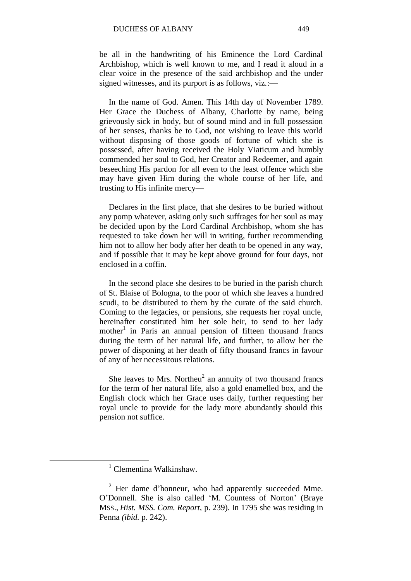be all in the handwriting of his Eminence the Lord Cardinal Archbishop, which is well known to me, and I read it aloud in a clear voice in the presence of the said archbishop and the under signed witnesses, and its purport is as follows, viz.:—

In the name of God. Amen. This 14th day of November 1789. Her Grace the Duchess of Albany, Charlotte by name, being grievously sick in body, but of sound mind and in full possession of her senses, thanks be to God, not wishing to leave this world without disposing of those goods of fortune of which she is possessed, after having received the Holy Viaticum and humbly commended her soul to God, her Creator and Redeemer, and again beseeching His pardon for all even to the least offence which she may have given Him during the whole course of her life, and trusting to His infinite mercy—

Declares in the first place, that she desires to be buried without any pomp whatever, asking only such suffrages for her soul as may be decided upon by the Lord Cardinal Archbishop, whom she has requested to take down her will in writing, further recommending him not to allow her body after her death to be opened in any way, and if possible that it may be kept above ground for four days, not enclosed in a coffin.

In the second place she desires to be buried in the parish church of St. Blaise of Bologna, to the poor of which she leaves a hundred scudi, to be distributed to them by the curate of the said church. Coming to the legacies, or pensions, she requests her royal uncle, hereinafter constituted him her sole heir, to send to her lady mother<sup>1</sup> in Paris an annual pension of fifteen thousand francs during the term of her natural life, and further, to allow her the power of disponing at her death of fifty thousand francs in favour of any of her necessitous relations.

She leaves to Mrs. Northeu<sup>2</sup> an annuity of two thousand francs for the term of her natural life, also a gold enamelled box, and the English clock which her Grace uses daily, further requesting her royal uncle to provide for the lady more abundantly should this pension not suffice.

 $1$  Clementina Walkinshaw.

<sup>2</sup> Her dame d'honneur, who had apparently succeeded Mme. O'Donnell. She is also called 'M. Countess of Norton' (Braye MSS., *Hist. MSS. Com. Report,* p. 239). In 1795 she was residing in Penna *(ibid.* p. 242).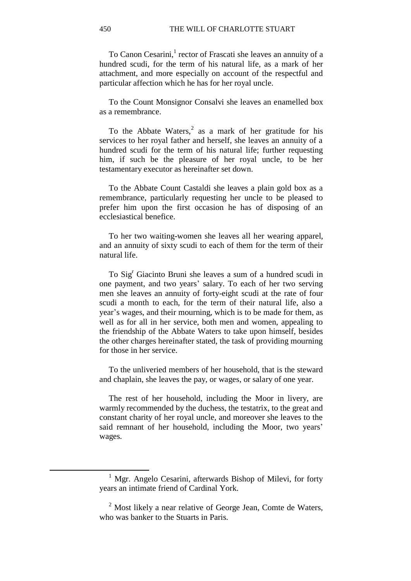To Canon Cesarini,<sup>1</sup> rector of Frascati she leaves an annuity of a hundred scudi, for the term of his natural life, as a mark of her attachment, and more especially on account of the respectful and particular affection which he has for her royal uncle.

To the Count Monsignor Consalvi she leaves an enamelled box as a remembrance.

To the Abbate Waters,<sup>2</sup> as a mark of her gratitude for his services to her royal father and herself, she leaves an annuity of a hundred scudi for the term of his natural life; further requesting him, if such be the pleasure of her royal uncle, to be her testamentary executor as hereinafter set down.

To the Abbate Count Castaldi she leaves a plain gold box as a remembrance, particularly requesting her uncle to be pleased to prefer him upon the first occasion he has of disposing of an ecclesiastical benefice.

To her two waiting-women she leaves all her wearing apparel, and an annuity of sixty scudi to each of them for the term of their natural life.

To Sig<sup>r</sup> Giacinto Bruni she leaves a sum of a hundred scudi in one payment, and two years' salary. To each of her two serving men she leaves an annuity of forty-eight scudi at the rate of four scudi a month to each, for the term of their natural life, also a year's wages, and their mourning, which is to be made for them, as well as for all in her service, both men and women, appealing to the friendship of the Abbate Waters to take upon himself, besides the other charges hereinafter stated, the task of providing mourning for those in her service.

To the unliveried members of her household, that is the steward and chaplain, she leaves the pay, or wages, or salary of one year.

The rest of her household, including the Moor in livery, are warmly recommended by the duchess, the testatrix, to the great and constant charity of her royal uncle, and moreover she leaves to the said remnant of her household, including the Moor, two years' wages.

.

<sup>&</sup>lt;sup>1</sup> Mgr. Angelo Cesarini, afterwards Bishop of Milevi, for forty years an intimate friend of Cardinal York.

 $2$  Most likely a near relative of George Jean, Comte de Waters, who was banker to the Stuarts in Paris.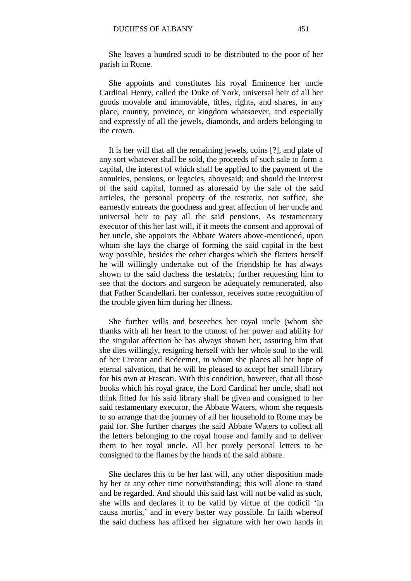She leaves a hundred scudi to be distributed to the poor of her parish in Rome.

She appoints and constitutes his royal Eminence her uncle Cardinal Henry, called the Duke of York, universal heir of all her goods movable and immovable, titles, rights, and shares, in any place, country, province, or kingdom whatsoever, and especially and expressly of all the jewels, diamonds, and orders belonging to the crown.

It is her will that all the remaining jewels, coins [?], and plate of any sort whatever shall be sold, the proceeds of such sale to form a capital, the interest of which shall be applied to the payment of the annuities, pensions, or legacies, abovesaid; and should the interest of the said capital, formed as aforesaid by the sale of the said articles, the personal property of the testatrix, not suffice, she earnestly entreats the goodness and great affection of her uncle and universal heir to pay all the said pensions. As testamentary executor of this her last will, if it meets the consent and approval of her uncle, she appoints the Abbate Waters above-mentioned, upon whom she lays the charge of forming the said capital in the best way possible, besides the other charges which she flatters herself he will willingly undertake out of the friendship he has always shown to the said duchess the testatrix; further requesting him to see that the doctors and surgeon be adequately remunerated, also that Father Scandellari. her confessor, receives some recognition of the trouble given him during her illness.

She further wills and beseeches her royal uncle (whom she thanks with all her heart to the utmost of her power and ability for the singular affection he has always shown her, assuring him that she dies willingly, resigning herself with her whole soul to the will of her Creator and Redeemer, in whom she places all her hope of eternal salvation, that he will be pleased to accept her small library for his own at Frascati. With this condition, however, that all those books which his royal grace, the Lord Cardinal her uncle, shall not think fitted for his said library shall be given and consigned to her said testamentary executor, the Abbate Waters, whom she requests to so arrange that the journey of all her household to Rome may be paid for. She further charges the said Abbate Waters to collect all the letters belonging to the royal house and family and to deliver them to her royal uncle. All her purely personal letters to be consigned to the flames by the hands of the said abbate.

She declares this to be her last will, any other disposition made by her at any other time notwithstanding; this will alone to stand and be regarded. And should this said last will not be valid as such, she wills and declares it to be valid by virtue of the codicil 'in causa mortis,' and in every better way possible. In faith whereof the said duchess has affixed her signature with her own hands in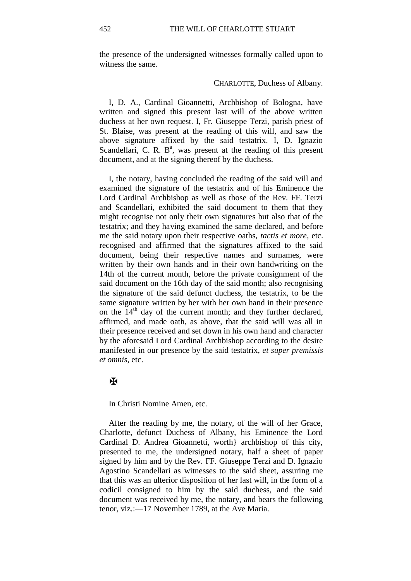the presence of the undersigned witnesses formally called upon to witness the same.

#### CHARLOTTE, Duchess of Albany.

I, D. A., Cardinal Gioannetti, Archbishop of Bologna, have written and signed this present last will of the above written duchess at her own request. I, Fr. Giuseppe Terzi, parish priest of St. Blaise, was present at the reading of this will, and saw the above signature affixed by the said testatrix. I, D. Ignazio Scandellari, C. R.  $B^a$ , was present at the reading of this present document, and at the signing thereof by the duchess.

I, the notary, having concluded the reading of the said will and examined the signature of the testatrix and of his Eminence the Lord Cardinal Archbishop as well as those of the Rev. FF. Terzi and Scandellari, exhibited the said document to them that they might recognise not only their own signatures but also that of the testatrix; and they having examined the same declared, and before me the said notary upon their respective oaths, *tactis et more,* etc. recognised and affirmed that the signatures affixed to the said document, being their respective names and surnames, were written by their own hands and in their own handwriting on the 14th of the current month, before the private consignment of the said document on the 16th day of the said month; also recognising the signature of the said defunct duchess, the testatrix, to be the same signature written by her with her own hand in their presence on the 14<sup>th</sup> day of the current month; and they further declared, affirmed, and made oath, as above, that the said will was all in their presence received and set down in his own hand and character by the aforesaid Lord Cardinal Archbishop according to the desire manifested in our presence by the said testatrix, *et super premissis et omnis,* etc.

#### $\overline{\bf X}$

In Christi Nomine Amen, etc.

After the reading by me, the notary, of the will of her Grace, Charlotte, defunct Duchess of Albany, his Eminence the Lord Cardinal D. Andrea Gioannetti, worth} archbishop of this city, presented to me, the undersigned notary, half a sheet of paper signed by him and by the Rev. FF. Giuseppe Terzi and D. Ignazio Agostino Scandellari as witnesses to the said sheet, assuring me that this was an ulterior disposition of her last will, in the form of a codicil consigned to him by the said duchess, and the said document was received by me, the notary, and bears the following tenor, viz.:—17 November 1789, at the Ave Maria.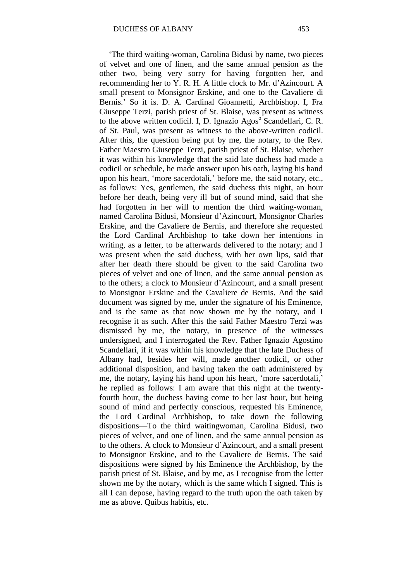'The third waiting-woman, Carolina Bidusi by name, two pieces of velvet and one of linen, and the same annual pension as the other two, being very sorry for having forgotten her, and recommending her to Y. R. H. A little clock to Mr. d'Azincourt. A small present to Monsignor Erskine, and one to the Cavaliere di Bernis.' So it is. D. A. Cardinal Gioannetti, Archbishop. I, Fra Giuseppe Terzi, parish priest of St. Blaise, was present as witness to the above written codicil. I, D. Ignazio Agos<sup>o</sup> Scandellari, C. R. of St. Paul, was present as witness to the above-written codicil. After this, the question being put by me, the notary, to the Rev. Father Maestro Giuseppe Terzi, parish priest of St. Blaise, whether it was within his knowledge that the said late duchess had made a codicil or schedule, he made answer upon his oath, laying his hand upon his heart, 'more sacerdotali,' before me, the said notary, etc., as follows: Yes, gentlemen, the said duchess this night, an hour before her death, being very ill but of sound mind, said that she had forgotten in her will to mention the third waiting-woman, named Carolina Bidusi, Monsieur d'Azincourt, Monsignor Charles Erskine, and the Cavaliere de Bernis, and therefore she requested the Lord Cardinal Archbishop to take down her intentions in writing, as a letter, to be afterwards delivered to the notary; and I was present when the said duchess, with her own lips, said that after her death there should be given to the said Carolina two pieces of velvet and one of linen, and the same annual pension as to the others; a clock to Monsieur d'Azincourt, and a small present to Monsignor Erskine and the Cavaliere de Bernis. And the said document was signed by me, under the signature of his Eminence, and is the same as that now shown me by the notary, and I recognise it as such. After this the said Father Maestro Terzi was dismissed by me, the notary, in presence of the witnesses undersigned, and I interrogated the Rev. Father Ignazio Agostino Scandellari, if it was within his knowledge that the late Duchess of Albany had, besides her will, made another codicil, or other additional disposition, and having taken the oath administered by me, the notary, laying his hand upon his heart, 'more sacerdotali,' he replied as follows: I am aware that this night at the twentyfourth hour, the duchess having come to her last hour, but being sound of mind and perfectly conscious, requested his Eminence, the Lord Cardinal Archbishop, to take down the following dispositions—To the third waitingwoman, Carolina Bidusi, two pieces of velvet, and one of linen, and the same annual pension as to the others. A clock to Monsieur d'Azincourt, and a small present to Monsignor Erskine, and to the Cavaliere de Bernis. The said dispositions were signed by his Eminence the Archbishop, by the parish priest of St. Blaise, and by me, as I recognise from the letter shown me by the notary, which is the same which I signed. This is all I can depose, having regard to the truth upon the oath taken by me as above. Quibus habitis, etc.